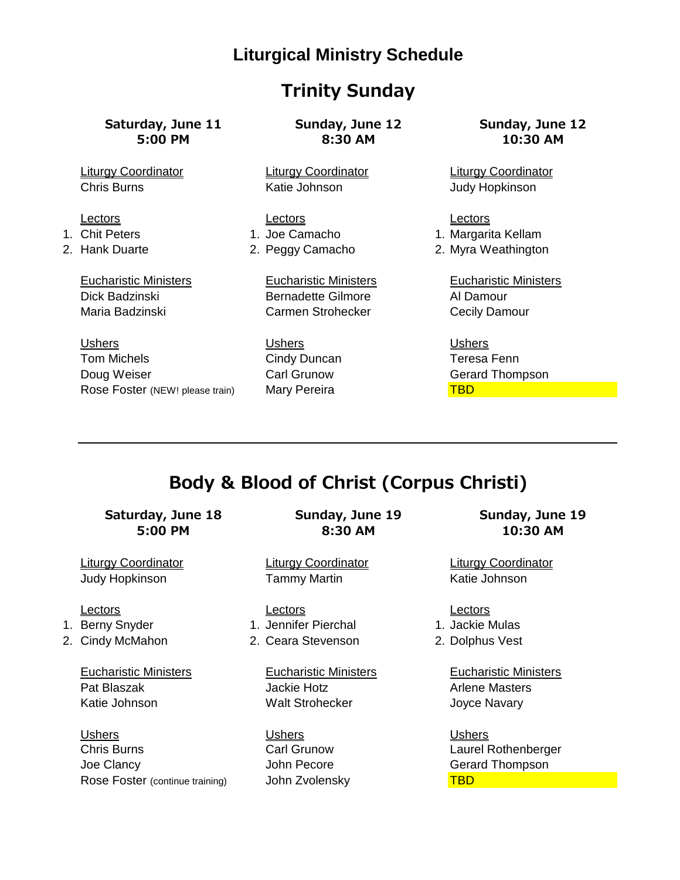### **Trinity Sunday**

# **Saturday, June 11 Sunday, June 12 Sunday, June 12**

Ushers Ushers Ushers Tom Michels **Cindy Duncan** Teresa Fenn Doug Weiser Carl Grunow Gerard Thompson Rose Foster (NEW! please train) Mary Pereira TBD TBD

**5:00 PM 8:30 AM 10:30 AM**

Chris Burns **Katie Johnson** Ghris Burns Matte Johnson Judy Hopkinson

Lectors **Lectors Lectors Lectors** 1. Chit Peters 1. Joe Camacho 1. Margarita Kellam

Eucharistic Ministers Eucharistic Ministers Eucharistic Ministers Dick Badzinski Bernadette Gilmore Al Damour Maria Badzinski Carmen Strohecker Cecily Damour

Liturgy Coordinator Liturgy Coordinator Liturgy Coordinator

- 
- 2. Hank Duarte **2. Peggy Camacho** 2. Myra Weathington

## **Body & Blood of Christ (Corpus Christi)**

# **Saturday, June 18 Sunday, June 19 Sunday, June 19**

- 
- 

Eucharistic Ministers Eucharistic Ministers Eucharistic Ministers Pat Blaszak **Mackie Hotz** Arlene Masters Arlene Masters Katie Johnson Malt Strohecker Joyce Navary

Ushers Ushers Ushers Chris Burns Carl Grunow Laurel Rothenberger Joe Clancy John Pecore Gerard Thompson Rose Foster (continue training) John Zvolensky TBD

**5:00 PM 8:30 AM 10:30 AM**

Liturgy Coordinator Liturgy Coordinator Liturgy Coordinator Judy Hopkinson Tammy Martin Katie Johnson

#### Lectors **Lectors Lectors Lectors**

#### 1. Berny Snyder 1. Jennifer Pierchal 1. Jackie Mulas

2. Cindy McMahon 2. Ceara Stevenson 2. Dolphus Vest

- 
- 
-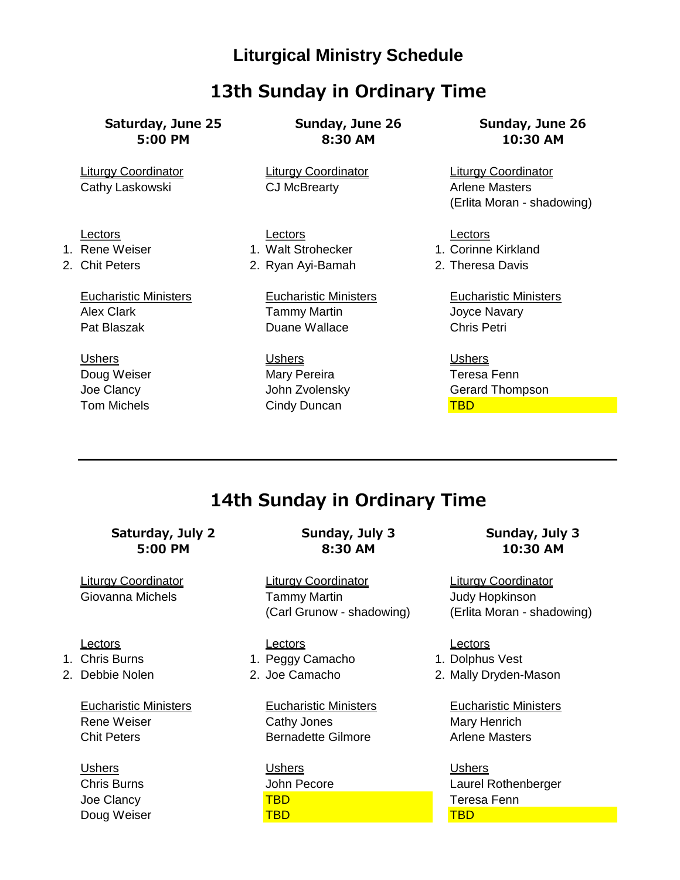### **13th Sunday in Ordinary Time**

**Saturday, June 25 Sunday, June 26 Sunday, June 26**

**5:00 PM 8:30 AM 10:30 AM**

Liturgy Coordinator Liturgy Coordinator Liturgy Coordinator Cathy Laskowski **CJ McBrearty CGG Arrow Arlene Masters** 

Lectors Lectors **Lectors Lectors** 1. Rene Weiser **1. Walt Strohecker** 1. Corinne Kirkland 2. Chit Peters 2. Ryan Ayi-Bamah 2. Theresa Davis

Eucharistic Ministers Eucharistic Ministers Eucharistic Ministers Alex Clark **Tammy Martin** Joyce Navary Pat Blaszak Duane Wallace Chris Petri

Ushers Ushers Ushers Doug Weiser **Mary Pereira** Mary Pereira **Teresa Fenn** Tom Michels **TBD** Cindy Duncan TBD

(Erlita Moran - shadowing)

Joe Clancy John Zvolensky Gerard Thompson

## **14th Sunday in Ordinary Time**

# **Saturday, July 2 Sunday, July 3 Sunday, July 3**

- 
- 

**5:00 PM 8:30 AM 10:30 AM**

Liturgy Coordinator Liturgy Coordinator Liturgy Coordinator Giovanna Michels **Tammy Martin** Tammy Martin Judy Hopkinson (Carl Grunow - shadowing) (Erlita Moran - shadowing)

Lectors Lectors **Lectors Lectors** 1. Chris Burns 1. Peggy Camacho 1. Dolphus Vest

Rene Weiser Cathy Jones Mary Henrich Chit Peters **Bernadette Gilmore** Arlene Masters **Article Masters** 

Ushers Ushers Ushers Joe Clancy TBD Teresa Fenn **Doug Weiser Contact TBD TBD** TBD TBD TBD

2. Debbie Nolen 2. Joe Camacho 2. Mally Dryden-Mason

Eucharistic Ministers Eucharistic Ministers Eucharistic Ministers

Chris Burns John Pecore Laurel Rothenberger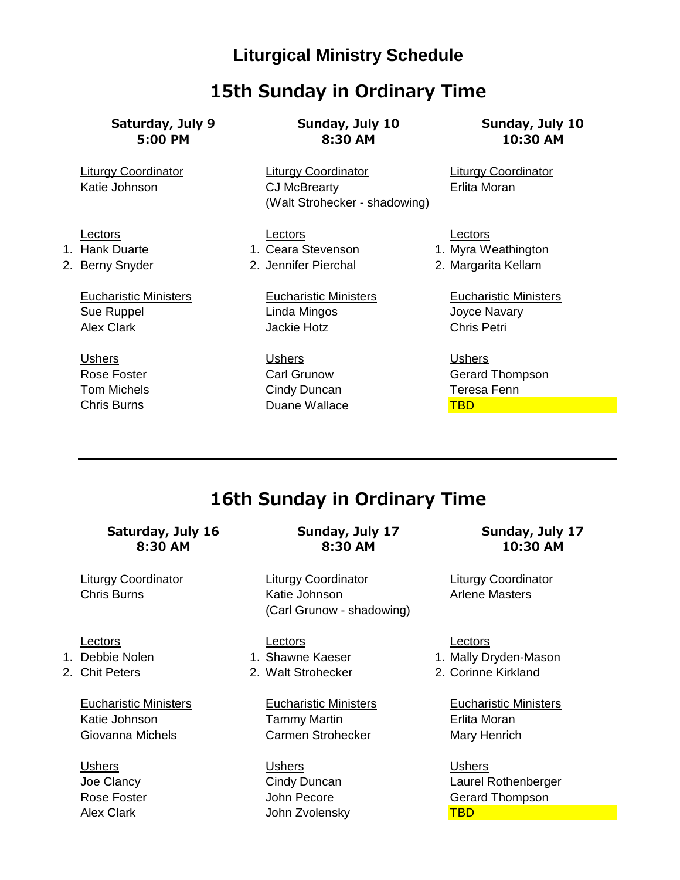### **15th Sunday in Ordinary Time**

**Saturday, July 9 Sunday, July 10 Sunday, July 10**

**5:00 PM 8:30 AM 10:30 AM**

Liturgy Coordinator Liturgy Coordinator Liturgy Coordinator Katie Johnson **CJ McBrearty CONCE Erlita Moran** (Walt Strohecker - shadowing)

#### Lectors Lectors **Lectors Lectors**

1. Hank Duarte **1. Ceara Stevenson** 1. Myra Weathington 2. Berny Snyder 2. Jennifer Pierchal 2. Margarita Kellam

Sue Ruppel **Linda Mingos Linda Mingos** Joyce Navary Alex Clark Jackie Hotz Chris Petri

Ushers Ushers Ushers Tom Michels Cindy Duncan Teresa Fenn Chris Burns **Chris Burns Chris Burns Chris Burns Chris Burns Chris Burns Chris Burns Chris Burns Chris Burns Chris Burns Chris Burns Chris Burns Chris Burns Chris Burns Chris Burns Chris Burns**

Eucharistic Ministers Eucharistic Ministers Eucharistic Ministers

Rose Foster **Carl Grunow** Carl Grunow Gerard Thompson

## **16th Sunday in Ordinary Time**

**Saturday, July 16 Sunday, July 17 Sunday, July 17**

- 
- 

**8:30 AM 8:30 AM 10:30 AM**

Liturgy Coordinator Liturgy Coordinator Liturgy Coordinator Chris Burns Katie Johnson Arlene Masters (Carl Grunow - shadowing)

Lectors **Lectors Lectors Lectors** 

Katie Johnson **Tammy Martin Communist Contract Contract Contract Contract Contract Contract Contract Contract Contract Contract Contract Contract Contract Contract Contract Contract Contract Contract Contract Contract Cont** Giovanna Michels **Carmen Strohecker** Mary Henrich

Ushers Ushers Ushers

- 1. Debbie Nolen 1. Shawne Kaeser 1. Mally Dryden-Mason
- 2. Chit Peters 2. Walt Strohecker 2. Corinne Kirkland

Eucharistic Ministers Eucharistic Ministers Eucharistic Ministers

Joe Clancy Cindy Duncan Laurel Rothenberger Rose Foster John Pecore Gerard Thompson Alex Clark North Clark John Zvolensky North TBD **TBD**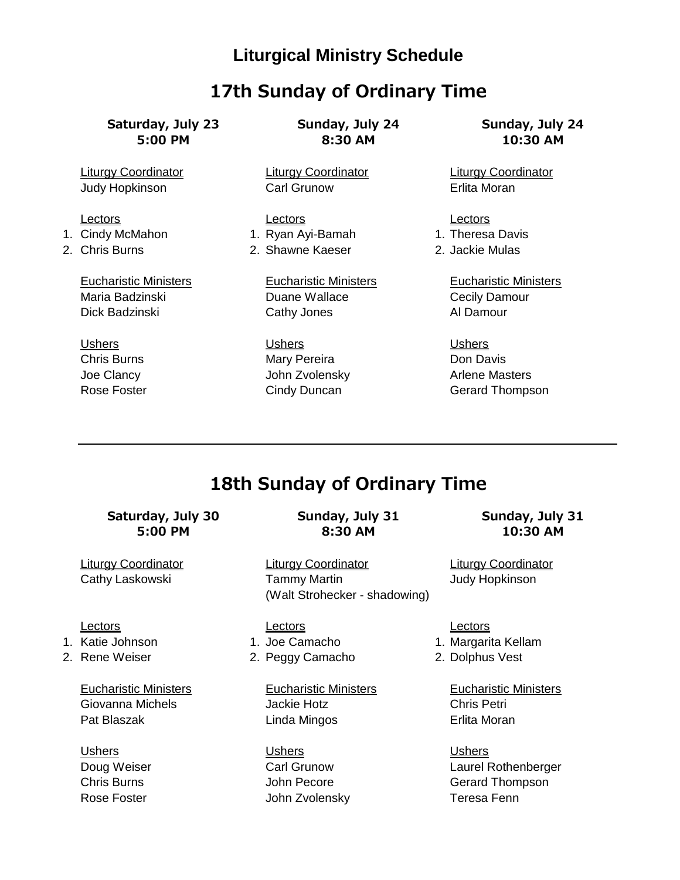### **17th Sunday of Ordinary Time**

**Saturday, July 23 Sunday, July 24 Sunday, July 24**

- 
- 

**5:00 PM 8:30 AM 10:30 AM**

Liturgy Coordinator Liturgy Coordinator Liturgy Coordinator Judy Hopkinson Carl Grunow Erlita Moran

Lectors **Lectors Lectors Lectors** 1. Cindy McMahon 1. Ryan Ayi-Bamah 1. Theresa Davis 2. Chris Burns 2. Shawne Kaeser 2. Jackie Mulas

Maria Badzinski Duane Wallace Cecily Damour Dick Badzinski Cathy Jones Carry Al Damour

Ushers Ushers Ushers Chris Burns **Mary Pereira** Chris Burns Don Davis

Eucharistic Ministers Eucharistic Ministers Eucharistic Ministers

Joe Clancy **State Arrow Clancy** John Zvolensky **Arrow Arlene Masters** Rose Foster **Cindy Duncan** Gerard Thompson

## **18th Sunday of Ordinary Time**

## **Saturday, July 30 Sunday, July 31 Sunday, July 31**

- 
- 

Giovanna Michels Jackie Hotz Chris Petri Pat Blaszak **National Linda Mingos Castro Erlita Moran** 

# **5:00 PM 8:30 AM 10:30 AM**

Liturgy Coordinator Liturgy Coordinator Liturgy Coordinator Cathy Laskowski **Tammy Martin** Tammy Martin Judy Hopkinson (Walt Strohecker - shadowing)

- 
- 2. Rene Weiser 2. Peggy Camacho 2. Dolphus Vest

Ushers Ushers Ushers Rose Foster **Network** John Zvolensky **Teresa Fenn** 

Lectors **Lectors Lectors Lectors** 

- 1. Katie Johnson 1. Joe Camacho 1. Margarita Kellam
	-

Eucharistic Ministers Eucharistic Ministers Eucharistic Ministers

Doug Weiser Carl Grunow Laurel Rothenberger Chris Burns John Pecore Gerard Thompson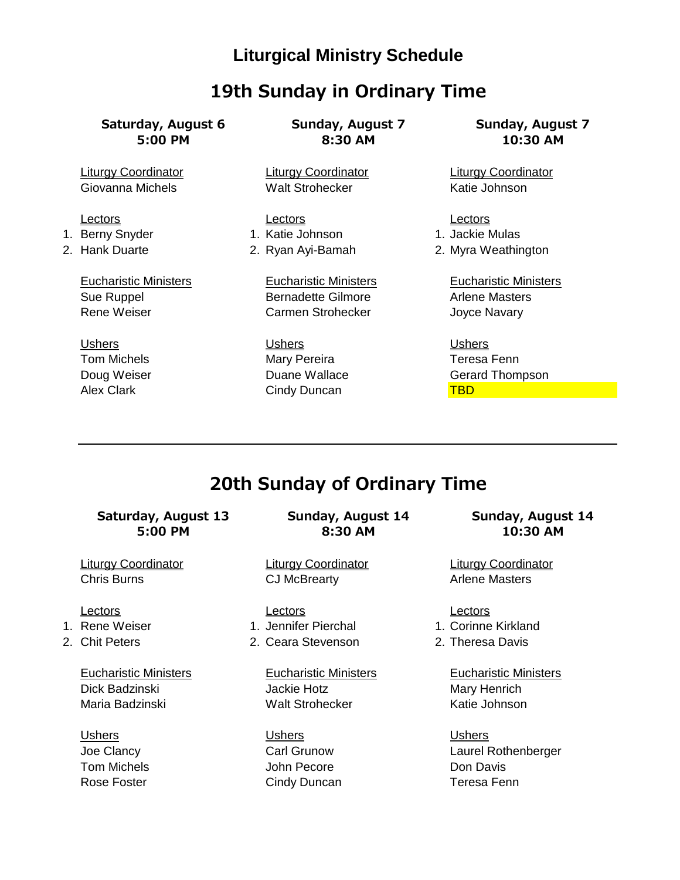### **19th Sunday in Ordinary Time**

**Saturday, August 6 Sunday, August 7 Sunday, August 7**

**5:00 PM 8:30 AM 10:30 AM**

Liturgy Coordinator Liturgy Coordinator Liturgy Coordinator Giovanna Michels **Malt Strohecker** Malt Strohecker Katie Johnson

Lectors **Lectors Lectors Lectors** 1. Berny Snyder 1. Katie Johnson 1. Jackie Mulas

Eucharistic Ministers Eucharistic Ministers Eucharistic Ministers Sue Ruppel **Bernadette Gilmore** Arlene Masters Rene Weiser **Carmen Strohecker** Joyce Navary

Ushers Ushers Ushers Tom Michels **Mary Pereira** Mary Pereira Teresa Fenn

2. Hank Duarte 2. Ryan Ayi-Bamah 2. Myra Weathington

Doug Weiser Duane Wallace Gerard Thompson Alex Clark Controllering Cindy Duncan TBD TBD

## **20th Sunday of Ordinary Time**

## **Saturday, August 13 Sunday, August 14 Sunday, August 14**

- 
- 

Dick Badzinski **Mary Henrich** Jackie Hotz **Mary Henrich** Maria Badzinski National Walt Strohecker Katie Johnson

**5:00 PM 8:30 AM 10:30 AM**

Liturgy Coordinator Liturgy Coordinator Liturgy Coordinator Chris Burns **CJ McBrearty CONIC Arlene Masters** 

Lectors Lectors Lectors 1. Rene Weiser 1. Jennifer Pierchal 1. Corinne Kirkland

2. Chit Peters 2. Ceara Stevenson 2. Theresa Davis

Ushers Ushers Ushers Tom Michels John Pecore Don Davis Rose Foster **Cindy Duncan** Cindy Duncan Teresa Fenn

- 
- 

Eucharistic Ministers Eucharistic Ministers Eucharistic Ministers

Joe Clancy Carl Grunow Laurel Rothenberger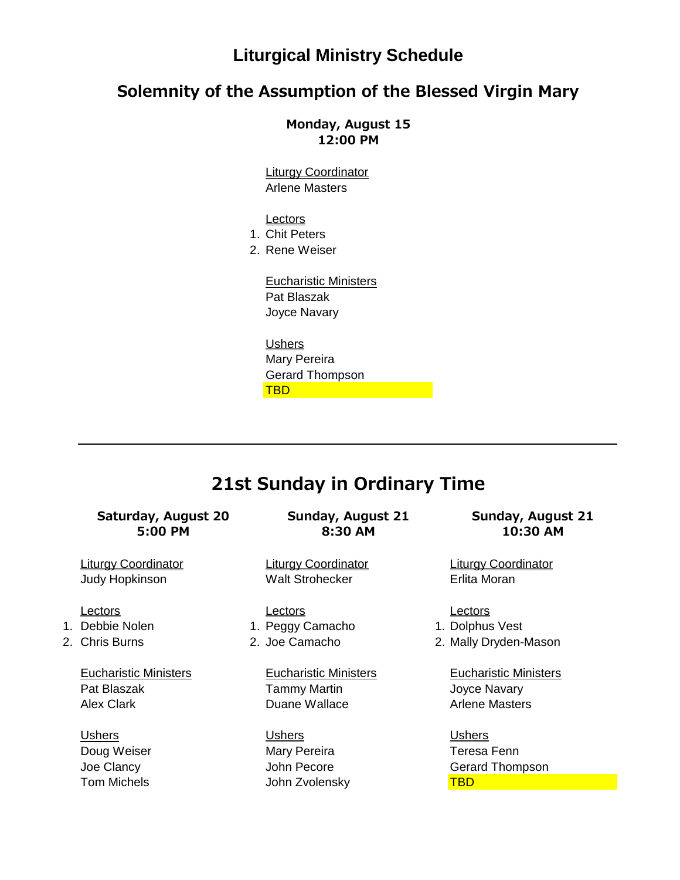#### **Solemnity of the Assumption of the Blessed Virgin Mary**

**Monday, August 15 12:00 PM**

Liturgy Coordinator Arlene Masters

**Lectors** 

1. Chit Peters

2. Rene Weiser

Eucharistic Ministers Pat Blaszak Joyce Navary

Ushers Mary Pereira Gerard Thompson **TBD The Contract of Contract of Contract** 

### **21st Sunday in Ordinary Time**

## **Saturday, August 20 Sunday, August 21 Sunday, August 21**

- 
- 

Pat Blaszak **Tammy Martin** Tammy Martin Joyce Navary Alex Clark **Duane Wallace** Arlene Masters **Arlene Masters** 

**5:00 PM 8:30 AM 10:30 AM**

Liturgy Coordinator Liturgy Coordinator Liturgy Coordinator Judy Hopkinson **Walt Strohecker** Erlita Moran

Lectors **Lectors Lectors Lectors** 1. Debbie Nolen 1. Peggy Camacho 1. Dolphus Vest

Ushers Ushers Ushers Doug Weiser **Mary Pereira** Mary Pereira **Teresa Fenn** Tom Michels John Zvolensky TBD

- 
- 2. Chris Burns 2. Joe Camacho 2. Mally Dryden-Mason

Eucharistic Ministers Eucharistic Ministers Eucharistic Ministers

Joe Clancy John Pecore Gerard Thompson